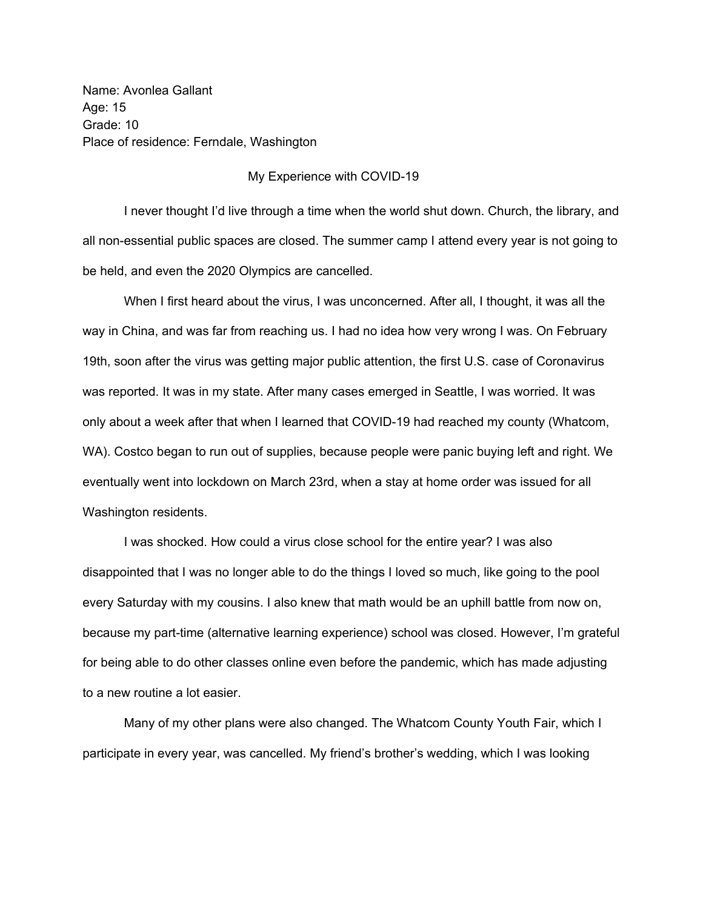Name: Avonlea Gallant Age: 15 Grade: 10 Place of residence: Ferndale, Washington

## My Experience with COVID-19

I never thought I'd live through a time when the world shut down. Church, the library, and all non-essential public spaces are closed. The summer camp I attend every year is not going to be held, and even the 2020 Olympics are cancelled.

When I first heard about the virus, I was unconcerned. After all, I thought, it was all the way in China, and was far from reaching us. I had no idea how very wrong I was. On February 19th, soon after the virus was getting major public attention, the first U.S. case of Coronavirus was reported. It was in my state. After many cases emerged in Seattle, I was worried. It was only about a week after that when I learned that COVID-19 had reached my county (Whatcom, WA). Costco began to run out of supplies, because people were panic buying left and right. We eventually went into lockdown on March 23rd, when a stay at home order was issued for all Washington residents.

I was shocked. How could a virus close school for the entire year? I was also disappointed that I was no longer able to do the things I loved so much, like going to the pool every Saturday with my cousins. I also knew that math would be an uphill battle from now on, because my part-time (alternative learning experience) school was closed. However, I'm grateful for being able to do other classes online even before the pandemic, which has made adjusting to a new routine a lot easier.

Many of my other plans were also changed. The Whatcom County Youth Fair, which I participate in every year, was cancelled. My friend's brother's wedding, which I was looking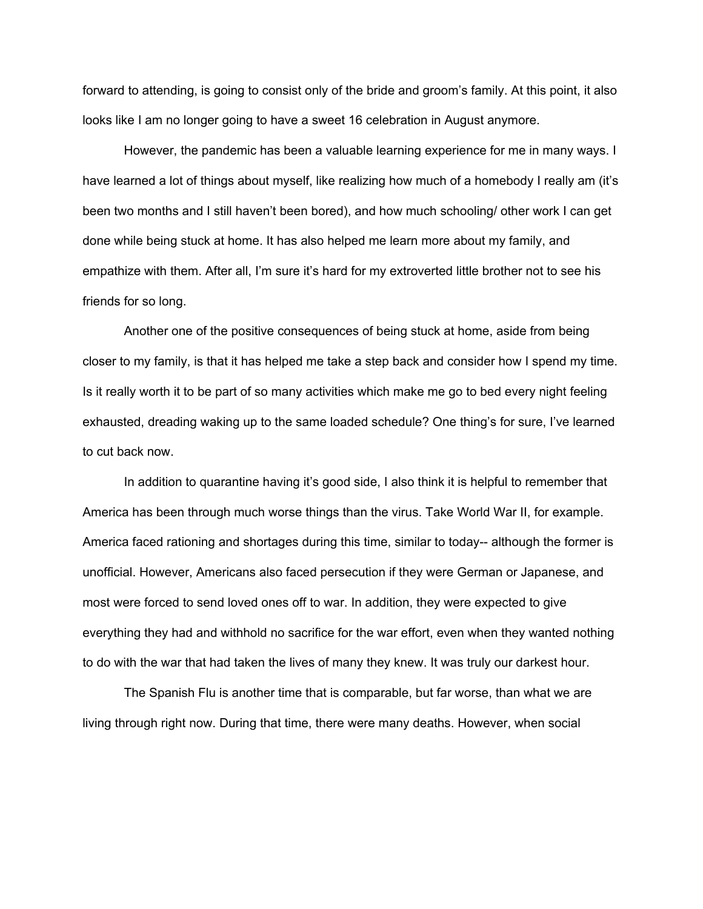forward to attending, is going to consist only of the bride and groom's family. At this point, it also looks like I am no longer going to have a sweet 16 celebration in August anymore.

However, the pandemic has been a valuable learning experience for me in many ways. I have learned a lot of things about myself, like realizing how much of a homebody I really am (it's been two months and I still haven't been bored), and how much schooling/ other work I can get done while being stuck at home. It has also helped me learn more about my family, and empathize with them. After all, I'm sure it's hard for my extroverted little brother not to see his friends for so long.

Another one of the positive consequences of being stuck at home, aside from being closer to my family, is that it has helped me take a step back and consider how I spend my time. Is it really worth it to be part of so many activities which make me go to bed every night feeling exhausted, dreading waking up to the same loaded schedule? One thing's for sure, I've learned to cut back now.

In addition to quarantine having it's good side, I also think it is helpful to remember that America has been through much worse things than the virus. Take World War II, for example. America faced rationing and shortages during this time, similar to today-- although the former is unofficial. However, Americans also faced persecution if they were German or Japanese, and most were forced to send loved ones off to war. In addition, they were expected to give everything they had and withhold no sacrifice for the war effort, even when they wanted nothing to do with the war that had taken the lives of many they knew. It was truly our darkest hour.

The Spanish Flu is another time that is comparable, but far worse, than what we are living through right now. During that time, there were many deaths. However, when social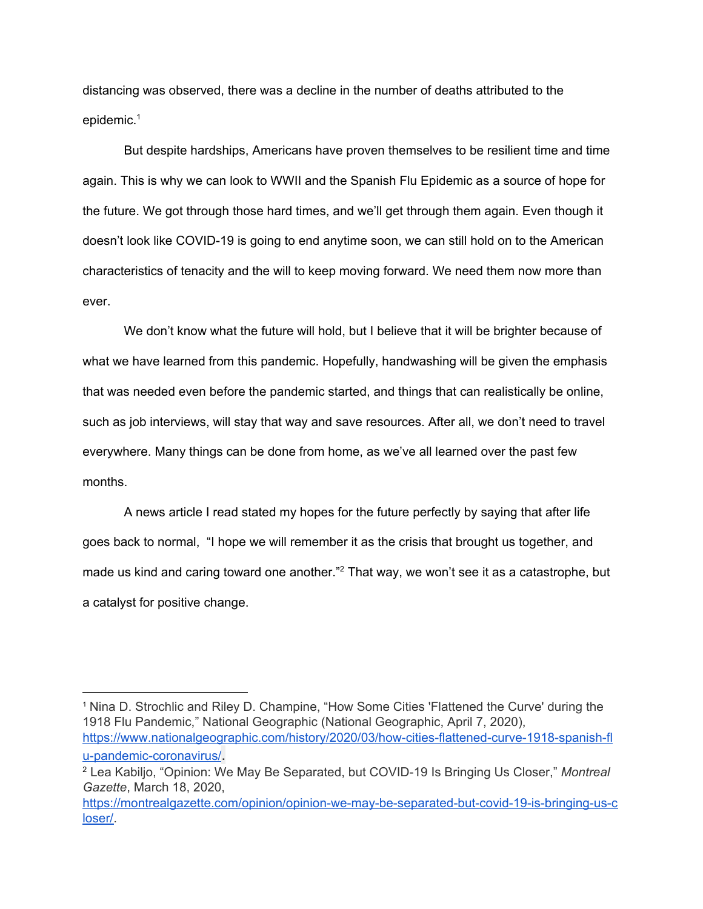distancing was observed, there was a decline in the number of deaths attributed to the epidemic. 1

But despite hardships, Americans have proven themselves to be resilient time and time again. This is why we can look to WWII and the Spanish Flu Epidemic as a source of hope for the future. We got through those hard times, and we'll get through them again. Even though it doesn't look like COVID-19 is going to end anytime soon, we can still hold on to the American characteristics of tenacity and the will to keep moving forward. We need them now more than ever.

We don't know what the future will hold, but I believe that it will be brighter because of what we have learned from this pandemic. Hopefully, handwashing will be given the emphasis that was needed even before the pandemic started, and things that can realistically be online, such as job interviews, will stay that way and save resources. After all, we don't need to travel everywhere. Many things can be done from home, as we've all learned over the past few months.

A news article I read stated my hopes for the future perfectly by saying that after life goes back to normal, "I hope we will remember it as the crisis that brought us together, and made us kind and caring toward one another."<sup>2</sup> That way, we won't see it as a catastrophe, but a catalyst for positive change.

<sup>1</sup> Nina D. Strochlic and Riley D. Champine, "How Some Cities 'Flattened the Curve' during the 1918 Flu Pandemic," National Geographic (National Geographic, April 7, 2020), [https://www.nationalgeographic.com/history/2020/03/how-cities-flattened-curve-1918-spanish-fl](https://www.nationalgeographic.com/history/2020/03/how-cities-flattened-curve-1918-spanish-flu-pandemic-coronavirus/) [u-pandemic-coronavirus/](https://www.nationalgeographic.com/history/2020/03/how-cities-flattened-curve-1918-spanish-flu-pandemic-coronavirus/).

<sup>2</sup> Lea Kabiljo, "Opinion: We May Be Separated, but COVID-19 Is Bringing Us Closer," *Montreal Gazette*, March 18, 2020,

[https://montrealgazette.com/opinion/opinion-we-may-be-separated-but-covid-19-is-bringing-us-c](https://montrealgazette.com/opinion/opinion-we-may-be-separated-but-covid-19-is-bringing-us-closer/) [loser/.](https://montrealgazette.com/opinion/opinion-we-may-be-separated-but-covid-19-is-bringing-us-closer/)